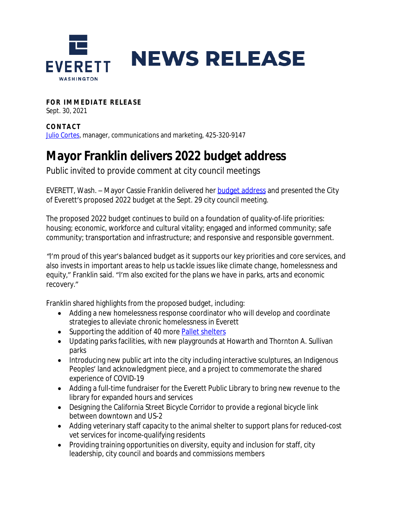

**FOR IMMEDIATE RELEASE** Sept. 30, 2021

**CONTAC T** [Julio Cortes,](mailto:jcortes@everettwa.gov) manager, communications and marketing, 425-320-9147

## **Mayor Franklin delivers 2022 budget address**

Public invited to provide comment at city council meetings

EVERETT, Wash. - Mayor Cassie Franklin delivered her **budget address** and presented the City of Everett's proposed 2022 budget at the Sept. 29 city council meeting.

The proposed 2022 budget continues to build on a foundation of quality-of-life priorities: housing; economic, workforce and cultural vitality; engaged and informed community; safe community; transportation and infrastructure; and responsive and responsible government.

*"*I'm proud of this year's balanced budget as it supports our key priorities and core services, and also invests in important areas to help us tackle issues like climate change, homelessness and equity," Franklin said. "I'm also excited for the plans we have in parks, arts and economic recovery."

Franklin shared highlights from the proposed budget, including:

- Adding a new homelessness response coordinator who will develop and coordinate strategies to alleviate chronic homelessness in Everett
- Supporting the addition of 40 more [Pallet shelters](http://www.everettwa.gov/palletshelters)
- Updating parks facilities, with new playgrounds at Howarth and Thornton A. Sullivan parks
- Introducing new public art into the city including interactive sculptures, an Indigenous Peoples' land acknowledgment piece, and a project to commemorate the shared experience of COVID-19
- Adding a full-time fundraiser for the Everett Public Library to bring new revenue to the library for expanded hours and services
- Designing the California Street Bicycle Corridor to provide a regional bicycle link between downtown and US-2
- Adding veterinary staff capacity to the animal shelter to support plans for reduced-cost vet services for income-qualifying residents
- Providing training opportunities on diversity, equity and inclusion for staff, city leadership, city council and boards and commissions members